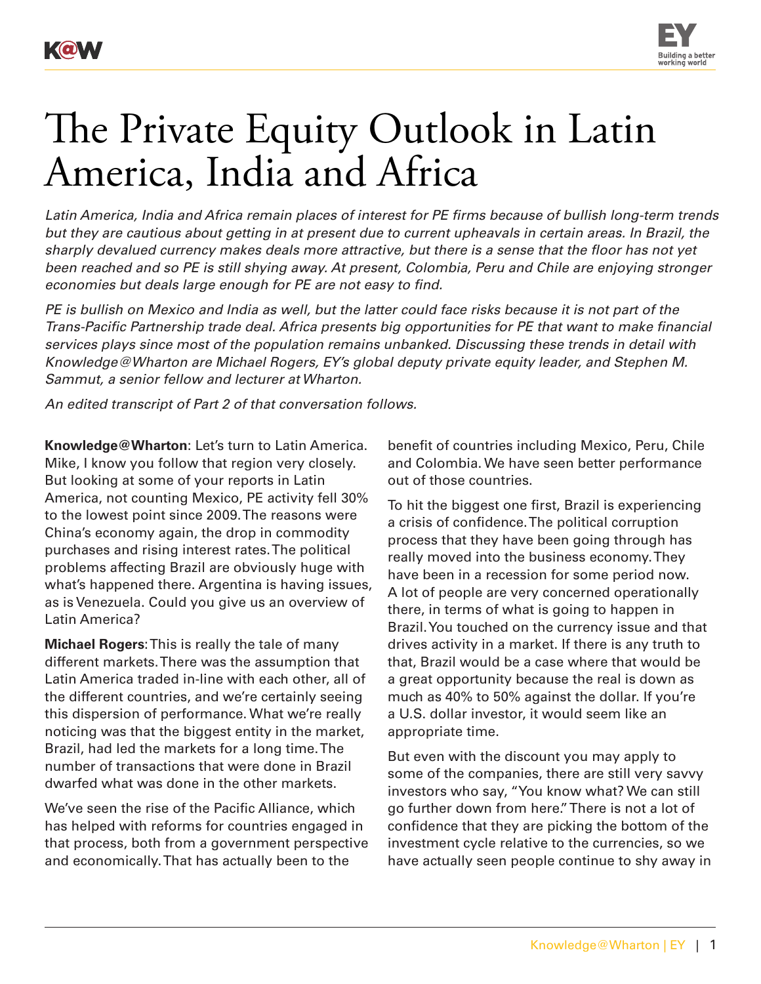



## The Private Equity Outlook in Latin America, India and Africa

*Latin America, India and Africa remain places of interest for PE firms because of bullish long-term trends but they are cautious about getting in at present due to current upheavals in certain areas. In Brazil, the sharply devalued currency makes deals more attractive, but there is a sense that the floor has not yet been reached and so PE is still shying away. At present, Colombia, Peru and Chile are enjoying stronger economies but deals large enough for PE are not easy to find.*

*PE is bullish on Mexico and India as well, but the latter could face risks because it is not part of the Trans-Pacific Partnership trade deal. Africa presents big opportunities for PE that want to make financial services plays since most of the population remains unbanked. Discussing these trends in detail with Knowledge@Wharton are Michael Rogers, EY's global deputy private equity leader, and Stephen M. Sammut, a senior fellow and lecturer at Wharton.*

*An edited transcript of Part 2 of that conversation follows.*

**Knowledge@Wharton**: Let's turn to Latin America. Mike, I know you follow that region very closely. But looking at some of your reports in Latin America, not counting Mexico, PE activity fell 30% to the lowest point since 2009. The reasons were China's economy again, the drop in commodity purchases and rising interest rates. The political problems affecting Brazil are obviously huge with what's happened there. Argentina is having issues, as is Venezuela. Could you give us an overview of Latin America?

**Michael Rogers**: This is really the tale of many different markets. There was the assumption that Latin America traded in-line with each other, all of the different countries, and we're certainly seeing this dispersion of performance. What we're really noticing was that the biggest entity in the market, Brazil, had led the markets for a long time. The number of transactions that were done in Brazil dwarfed what was done in the other markets.

We've seen the rise of the Pacific Alliance, which has helped with reforms for countries engaged in that process, both from a government perspective and economically. That has actually been to the

benefit of countries including Mexico, Peru, Chile and Colombia. We have seen better performance out of those countries.

To hit the biggest one first, Brazil is experiencing a crisis of confidence. The political corruption process that they have been going through has really moved into the business economy. They have been in a recession for some period now. A lot of people are very concerned operationally there, in terms of what is going to happen in Brazil. You touched on the currency issue and that drives activity in a market. If there is any truth to that, Brazil would be a case where that would be a great opportunity because the real is down as much as 40% to 50% against the dollar. If you're a U.S. dollar investor, it would seem like an appropriate time.

But even with the discount you may apply to some of the companies, there are still very savvy investors who say, "You know what? We can still go further down from here." There is not a lot of confidence that they are picking the bottom of the investment cycle relative to the currencies, so we have actually seen people continue to shy away in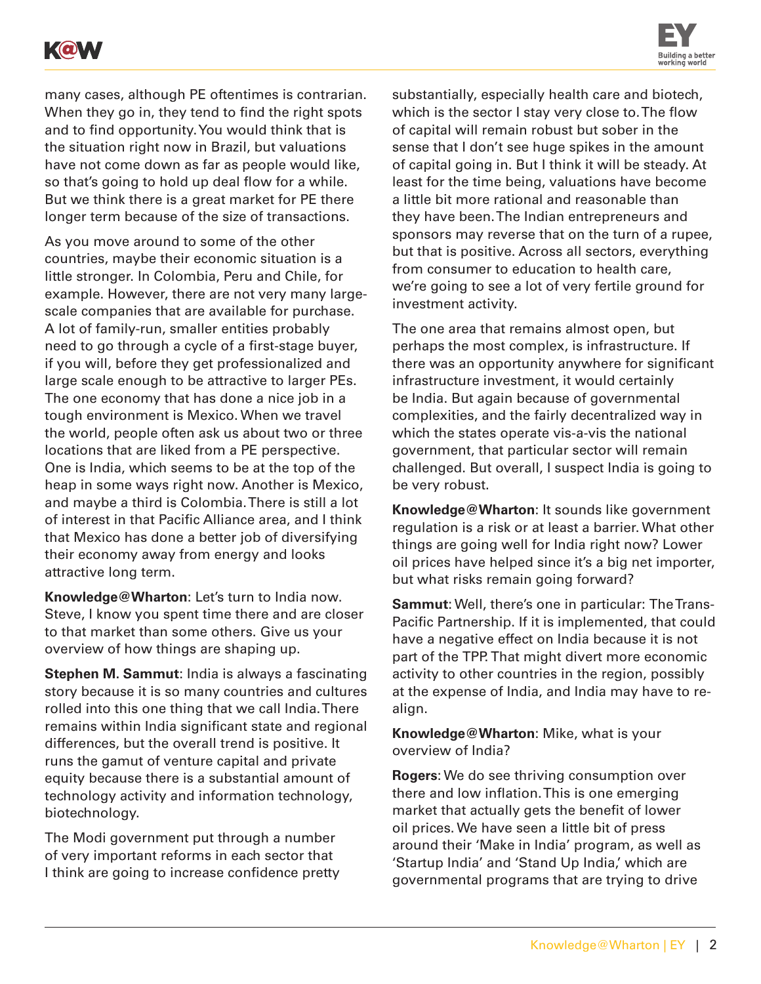



many cases, although PE oftentimes is contrarian. When they go in, they tend to find the right spots and to find opportunity. You would think that is the situation right now in Brazil, but valuations have not come down as far as people would like, so that's going to hold up deal flow for a while. But we think there is a great market for PE there longer term because of the size of transactions.

As you move around to some of the other countries, maybe their economic situation is a little stronger. In Colombia, Peru and Chile, for example. However, there are not very many largescale companies that are available for purchase. A lot of family-run, smaller entities probably need to go through a cycle of a first-stage buyer, if you will, before they get professionalized and large scale enough to be attractive to larger PEs. The one economy that has done a nice job in a tough environment is Mexico. When we travel the world, people often ask us about two or three locations that are liked from a PE perspective. One is India, which seems to be at the top of the heap in some ways right now. Another is Mexico, and maybe a third is Colombia. There is still a lot of interest in that Pacific Alliance area, and I think that Mexico has done a better job of diversifying their economy away from energy and looks attractive long term.

**Knowledge@Wharton**: Let's turn to India now. Steve, I know you spent time there and are closer to that market than some others. Give us your overview of how things are shaping up.

**Stephen M. Sammut**: India is always a fascinating story because it is so many countries and cultures rolled into this one thing that we call India. There remains within India significant state and regional differences, but the overall trend is positive. It runs the gamut of venture capital and private equity because there is a substantial amount of technology activity and information technology, biotechnology.

The Modi government put through a number of very important reforms in each sector that I think are going to increase confidence pretty substantially, especially health care and biotech, which is the sector I stay very close to. The flow of capital will remain robust but sober in the sense that I don't see huge spikes in the amount of capital going in. But I think it will be steady. At least for the time being, valuations have become a little bit more rational and reasonable than they have been. The Indian entrepreneurs and sponsors may reverse that on the turn of a rupee, but that is positive. Across all sectors, everything from consumer to education to health care, we're going to see a lot of very fertile ground for investment activity.

The one area that remains almost open, but perhaps the most complex, is infrastructure. If there was an opportunity anywhere for significant infrastructure investment, it would certainly be India. But again because of governmental complexities, and the fairly decentralized way in which the states operate vis-a-vis the national government, that particular sector will remain challenged. But overall, I suspect India is going to be very robust.

**Knowledge@Wharton**: It sounds like government regulation is a risk or at least a barrier. What other things are going well for India right now? Lower oil prices have helped since it's a big net importer, but what risks remain going forward?

**Sammut**: Well, there's one in particular: The Trans-Pacific Partnership. If it is implemented, that could have a negative effect on India because it is not part of the TPP. That might divert more economic activity to other countries in the region, possibly at the expense of India, and India may have to realign.

**Knowledge@Wharton**: Mike, what is your overview of India?

**Rogers**: We do see thriving consumption over there and low inflation. This is one emerging market that actually gets the benefit of lower oil prices. We have seen a little bit of press around their 'Make in India' program, as well as 'Startup India' and 'Stand Up India,' which are governmental programs that are trying to drive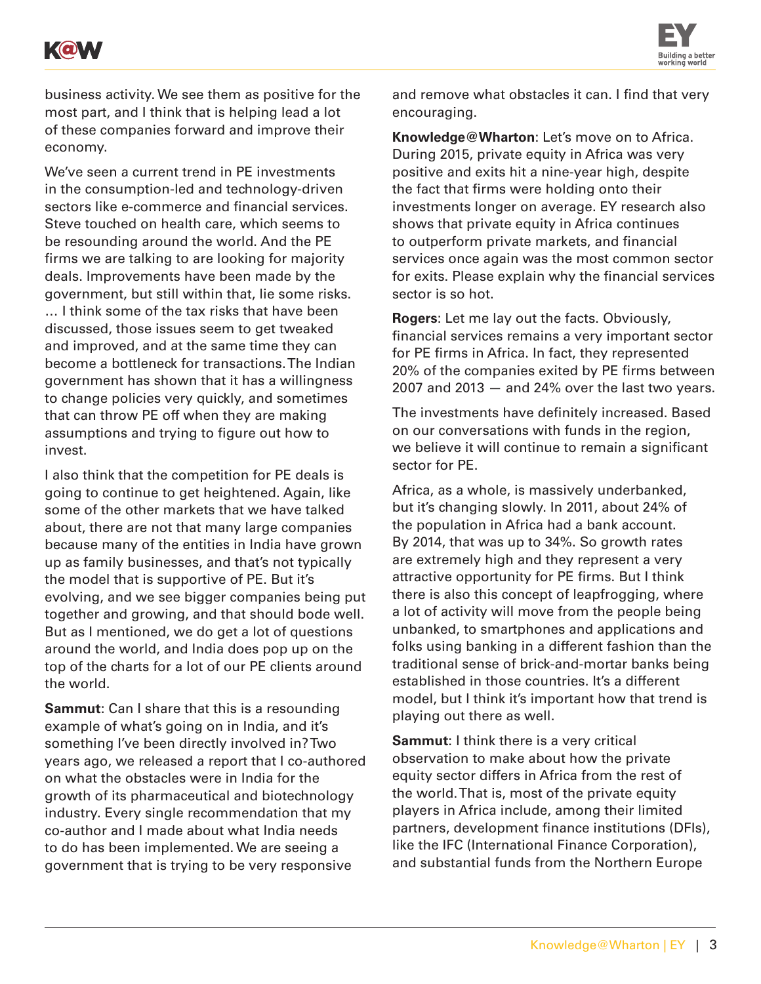



business activity. We see them as positive for the most part, and I think that is helping lead a lot of these companies forward and improve their economy.

We've seen a current trend in PE investments in the consumption-led and technology-driven sectors like e-commerce and financial services. Steve touched on health care, which seems to be resounding around the world. And the PE firms we are talking to are looking for majority deals. Improvements have been made by the government, but still within that, lie some risks. … I think some of the tax risks that have been discussed, those issues seem to get tweaked and improved, and at the same time they can become a bottleneck for transactions. The Indian government has shown that it has a willingness to change policies very quickly, and sometimes that can throw PE off when they are making assumptions and trying to figure out how to invest.

I also think that the competition for PE deals is going to continue to get heightened. Again, like some of the other markets that we have talked about, there are not that many large companies because many of the entities in India have grown up as family businesses, and that's not typically the model that is supportive of PE. But it's evolving, and we see bigger companies being put together and growing, and that should bode well. But as I mentioned, we do get a lot of questions around the world, and India does pop up on the top of the charts for a lot of our PE clients around the world.

**Sammut**: Can I share that this is a resounding example of what's going on in India, and it's something I've been directly involved in? Two years ago, we released a report that I co-authored on what the obstacles were in India for the growth of its pharmaceutical and biotechnology industry. Every single recommendation that my co-author and I made about what India needs to do has been implemented. We are seeing a government that is trying to be very responsive

and remove what obstacles it can. I find that very encouraging.

**Knowledge@Wharton**: Let's move on to Africa. During 2015, private equity in Africa was very positive and exits hit a nine-year high, despite the fact that firms were holding onto their investments longer on average. EY research also shows that private equity in Africa continues to outperform private markets, and financial services once again was the most common sector for exits. Please explain why the financial services sector is so hot.

**Rogers**: Let me lay out the facts. Obviously, financial services remains a very important sector for PE firms in Africa. In fact, they represented 20% of the companies exited by PE firms between  $2007$  and  $2013 -$  and  $24\%$  over the last two years.

The investments have definitely increased. Based on our conversations with funds in the region, we believe it will continue to remain a significant sector for PE.

Africa, as a whole, is massively underbanked, but it's changing slowly. In 2011, about 24% of the population in Africa had a bank account. By 2014, that was up to 34%. So growth rates are extremely high and they represent a very attractive opportunity for PE firms. But I think there is also this concept of leapfrogging, where a lot of activity will move from the people being unbanked, to smartphones and applications and folks using banking in a different fashion than the traditional sense of brick-and-mortar banks being established in those countries. It's a different model, but I think it's important how that trend is playing out there as well.

**Sammut**: I think there is a very critical observation to make about how the private equity sector differs in Africa from the rest of the world. That is, most of the private equity players in Africa include, among their limited partners, development finance institutions (DFIs), like the IFC (International Finance Corporation), and substantial funds from the Northern Europe